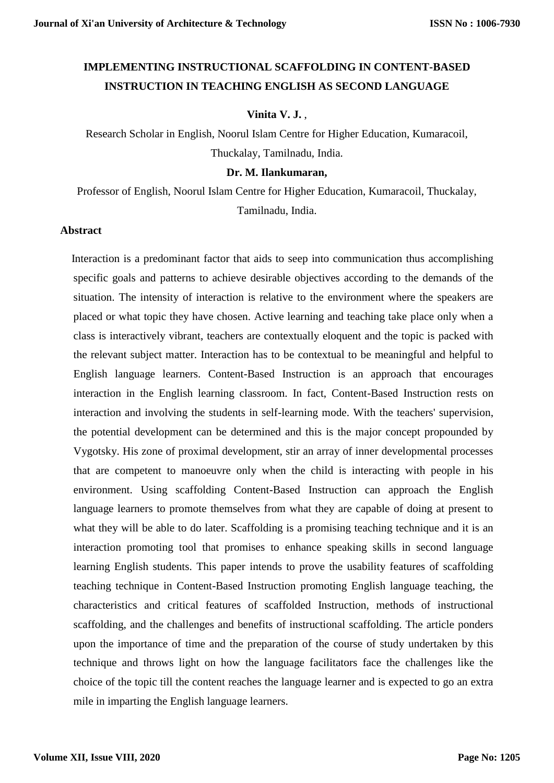# **IMPLEMENTING INSTRUCTIONAL SCAFFOLDING IN CONTENT-BASED INSTRUCTION IN TEACHING ENGLISH AS SECOND LANGUAGE**

## **Vinita V. J.** ,

Research Scholar in English, Noorul Islam Centre for Higher Education, Kumaracoil, Thuckalay, Tamilnadu, India.

#### **Dr. M. Ilankumaran,**

Professor of English, Noorul Islam Centre for Higher Education, Kumaracoil, Thuckalay, Tamilnadu, India.

# **Abstract**

 Interaction is a predominant factor that aids to seep into communication thus accomplishing specific goals and patterns to achieve desirable objectives according to the demands of the situation. The intensity of interaction is relative to the environment where the speakers are placed or what topic they have chosen. Active learning and teaching take place only when a class is interactively vibrant, teachers are contextually eloquent and the topic is packed with the relevant subject matter. Interaction has to be contextual to be meaningful and helpful to English language learners. Content-Based Instruction is an approach that encourages interaction in the English learning classroom. In fact, Content-Based Instruction rests on interaction and involving the students in self-learning mode. With the teachers' supervision, the potential development can be determined and this is the major concept propounded by Vygotsky. His zone of proximal development, stir an array of inner developmental processes that are competent to manoeuvre only when the child is interacting with people in his environment. Using scaffolding Content-Based Instruction can approach the English language learners to promote themselves from what they are capable of doing at present to what they will be able to do later. Scaffolding is a promising teaching technique and it is an interaction promoting tool that promises to enhance speaking skills in second language learning English students. This paper intends to prove the usability features of scaffolding teaching technique in Content-Based Instruction promoting English language teaching, the characteristics and critical features of scaffolded Instruction, methods of instructional scaffolding, and the challenges and benefits of instructional scaffolding. The article ponders upon the importance of time and the preparation of the course of study undertaken by this technique and throws light on how the language facilitators face the challenges like the choice of the topic till the content reaches the language learner and is expected to go an extra mile in imparting the English language learners.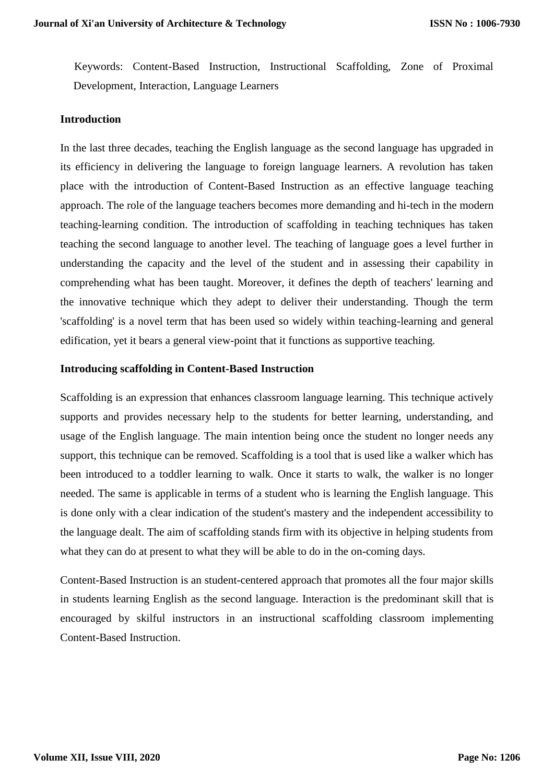Keywords: Content-Based Instruction, Instructional Scaffolding, Zone of Proximal Development, Interaction, Language Learners

## **Introduction**

In the last three decades, teaching the English language as the second language has upgraded in its efficiency in delivering the language to foreign language learners. A revolution has taken place with the introduction of Content-Based Instruction as an effective language teaching approach. The role of the language teachers becomes more demanding and hi-tech in the modern teaching-learning condition. The introduction of scaffolding in teaching techniques has taken teaching the second language to another level. The teaching of language goes a level further in understanding the capacity and the level of the student and in assessing their capability in comprehending what has been taught. Moreover, it defines the depth of teachers' learning and the innovative technique which they adept to deliver their understanding. Though the term 'scaffolding' is a novel term that has been used so widely within teaching-learning and general edification, yet it bears a general view-point that it functions as supportive teaching.

## **Introducing scaffolding in Content-Based Instruction**

Scaffolding is an expression that enhances classroom language learning. This technique actively supports and provides necessary help to the students for better learning, understanding, and usage of the English language. The main intention being once the student no longer needs any support, this technique can be removed. Scaffolding is a tool that is used like a walker which has been introduced to a toddler learning to walk. Once it starts to walk, the walker is no longer needed. The same is applicable in terms of a student who is learning the English language. This is done only with a clear indication of the student's mastery and the independent accessibility to the language dealt. The aim of scaffolding stands firm with its objective in helping students from what they can do at present to what they will be able to do in the on-coming days.

Content-Based Instruction is an student-centered approach that promotes all the four major skills in students learning English as the second language. Interaction is the predominant skill that is encouraged by skilful instructors in an instructional scaffolding classroom implementing Content-Based Instruction.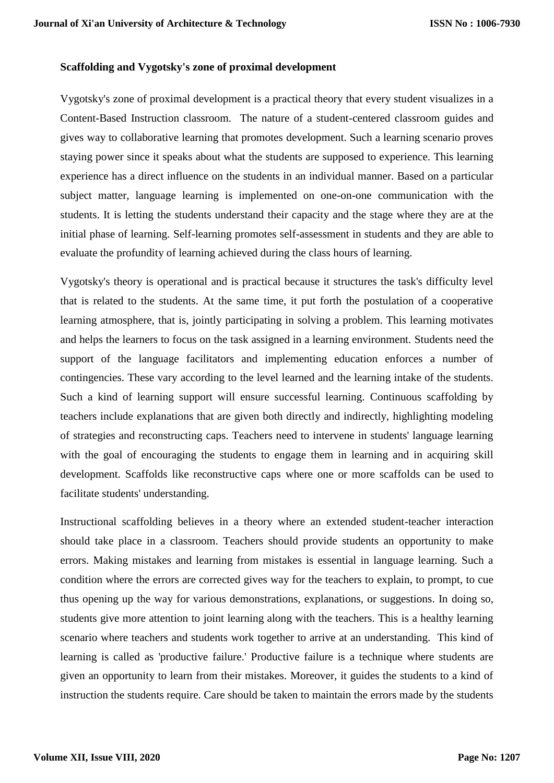## **Scaffolding and Vygotsky's zone of proximal development**

Vygotsky's zone of proximal development is a practical theory that every student visualizes in a Content-Based Instruction classroom. The nature of a student-centered classroom guides and gives way to collaborative learning that promotes development. Such a learning scenario proves staying power since it speaks about what the students are supposed to experience. This learning experience has a direct influence on the students in an individual manner. Based on a particular subject matter, language learning is implemented on one-on-one communication with the students. It is letting the students understand their capacity and the stage where they are at the initial phase of learning. Self-learning promotes self-assessment in students and they are able to evaluate the profundity of learning achieved during the class hours of learning.

Vygotsky's theory is operational and is practical because it structures the task's difficulty level that is related to the students. At the same time, it put forth the postulation of a cooperative learning atmosphere, that is, jointly participating in solving a problem. This learning motivates and helps the learners to focus on the task assigned in a learning environment. Students need the support of the language facilitators and implementing education enforces a number of contingencies. These vary according to the level learned and the learning intake of the students. Such a kind of learning support will ensure successful learning. Continuous scaffolding by teachers include explanations that are given both directly and indirectly, highlighting modeling of strategies and reconstructing caps. Teachers need to intervene in students' language learning with the goal of encouraging the students to engage them in learning and in acquiring skill development. Scaffolds like reconstructive caps where one or more scaffolds can be used to facilitate students' understanding.

Instructional scaffolding believes in a theory where an extended student-teacher interaction should take place in a classroom. Teachers should provide students an opportunity to make errors. Making mistakes and learning from mistakes is essential in language learning. Such a condition where the errors are corrected gives way for the teachers to explain, to prompt, to cue thus opening up the way for various demonstrations, explanations, or suggestions. In doing so, students give more attention to joint learning along with the teachers. This is a healthy learning scenario where teachers and students work together to arrive at an understanding. This kind of learning is called as 'productive failure.' Productive failure is a technique where students are given an opportunity to learn from their mistakes. Moreover, it guides the students to a kind of instruction the students require. Care should be taken to maintain the errors made by the students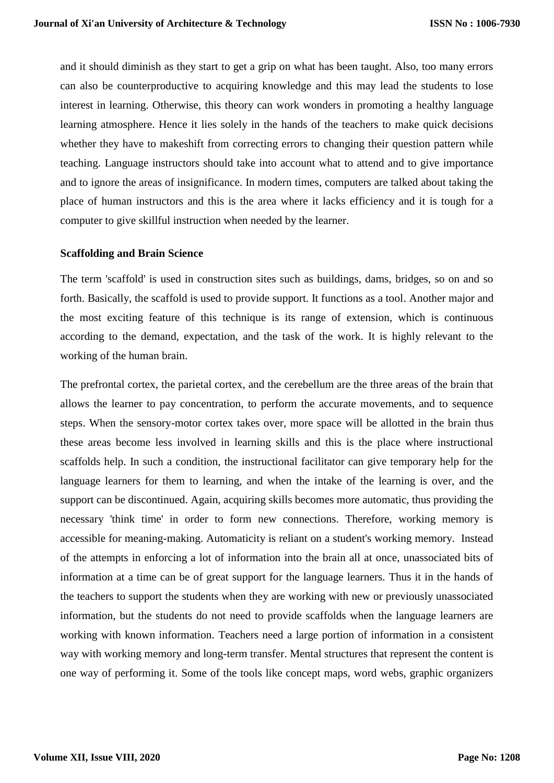and it should diminish as they start to get a grip on what has been taught. Also, too many errors can also be counterproductive to acquiring knowledge and this may lead the students to lose interest in learning. Otherwise, this theory can work wonders in promoting a healthy language learning atmosphere. Hence it lies solely in the hands of the teachers to make quick decisions whether they have to makeshift from correcting errors to changing their question pattern while teaching. Language instructors should take into account what to attend and to give importance and to ignore the areas of insignificance. In modern times, computers are talked about taking the place of human instructors and this is the area where it lacks efficiency and it is tough for a computer to give skillful instruction when needed by the learner.

## **Scaffolding and Brain Science**

The term 'scaffold' is used in construction sites such as buildings, dams, bridges, so on and so forth. Basically, the scaffold is used to provide support. It functions as a tool. Another major and the most exciting feature of this technique is its range of extension, which is continuous according to the demand, expectation, and the task of the work. It is highly relevant to the working of the human brain.

The prefrontal cortex, the parietal cortex, and the cerebellum are the three areas of the brain that allows the learner to pay concentration, to perform the accurate movements, and to sequence steps. When the sensory-motor cortex takes over, more space will be allotted in the brain thus these areas become less involved in learning skills and this is the place where instructional scaffolds help. In such a condition, the instructional facilitator can give temporary help for the language learners for them to learning, and when the intake of the learning is over, and the support can be discontinued. Again, acquiring skills becomes more automatic, thus providing the necessary 'think time' in order to form new connections. Therefore, working memory is accessible for meaning-making. Automaticity is reliant on a student's working memory. Instead of the attempts in enforcing a lot of information into the brain all at once, unassociated bits of information at a time can be of great support for the language learners. Thus it in the hands of the teachers to support the students when they are working with new or previously unassociated information, but the students do not need to provide scaffolds when the language learners are working with known information. Teachers need a large portion of information in a consistent way with working memory and long-term transfer. Mental structures that represent the content is one way of performing it. Some of the tools like concept maps, word webs, graphic organizers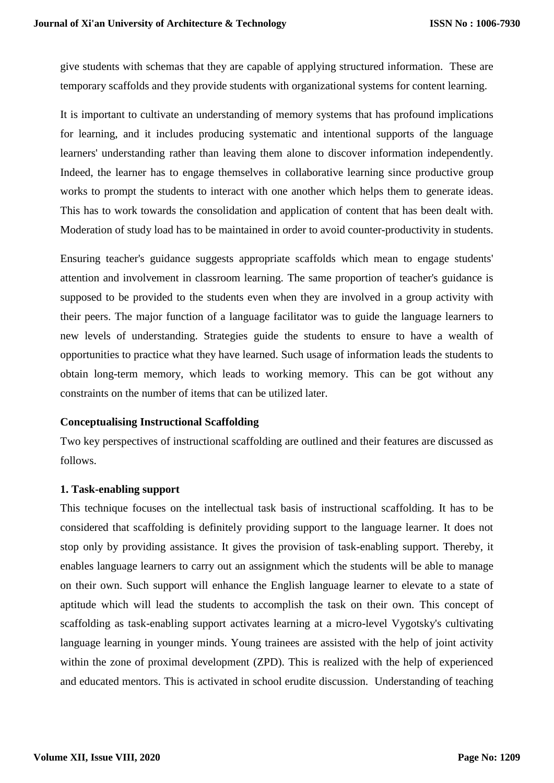give students with schemas that they are capable of applying structured information. These are temporary scaffolds and they provide students with organizational systems for content learning.

It is important to cultivate an understanding of memory systems that has profound implications for learning, and it includes producing systematic and intentional supports of the language learners' understanding rather than leaving them alone to discover information independently. Indeed, the learner has to engage themselves in collaborative learning since productive group works to prompt the students to interact with one another which helps them to generate ideas. This has to work towards the consolidation and application of content that has been dealt with. Moderation of study load has to be maintained in order to avoid counter-productivity in students.

Ensuring teacher's guidance suggests appropriate scaffolds which mean to engage students' attention and involvement in classroom learning. The same proportion of teacher's guidance is supposed to be provided to the students even when they are involved in a group activity with their peers. The major function of a language facilitator was to guide the language learners to new levels of understanding. Strategies guide the students to ensure to have a wealth of opportunities to practice what they have learned. Such usage of information leads the students to obtain long-term memory, which leads to working memory. This can be got without any constraints on the number of items that can be utilized later.

# **Conceptualising Instructional Scaffolding**

Two key perspectives of instructional scaffolding are outlined and their features are discussed as follows.

# **1. Task-enabling support**

This technique focuses on the intellectual task basis of instructional scaffolding. It has to be considered that scaffolding is definitely providing support to the language learner. It does not stop only by providing assistance. It gives the provision of task-enabling support. Thereby, it enables language learners to carry out an assignment which the students will be able to manage on their own. Such support will enhance the English language learner to elevate to a state of aptitude which will lead the students to accomplish the task on their own. This concept of scaffolding as task-enabling support activates learning at a micro-level Vygotsky's cultivating language learning in younger minds. Young trainees are assisted with the help of joint activity within the zone of proximal development (ZPD). This is realized with the help of experienced and educated mentors. This is activated in school erudite discussion. Understanding of teaching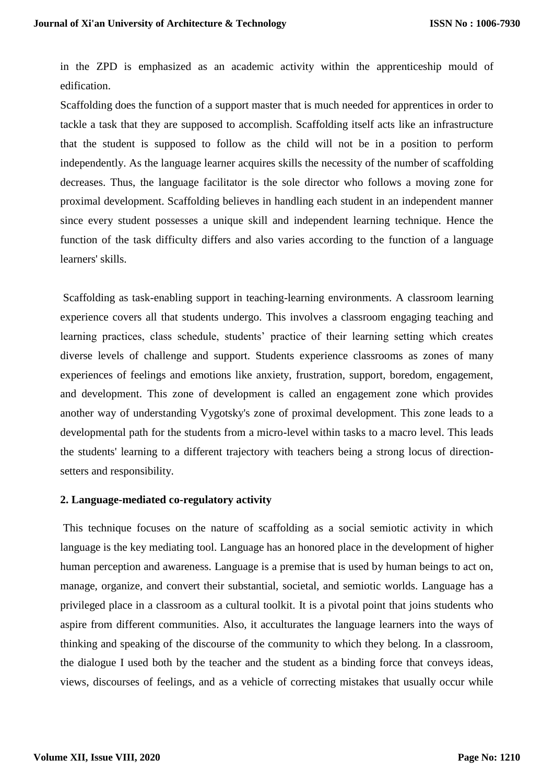in the ZPD is emphasized as an academic activity within the apprenticeship mould of edification.

Scaffolding does the function of a support master that is much needed for apprentices in order to tackle a task that they are supposed to accomplish. Scaffolding itself acts like an infrastructure that the student is supposed to follow as the child will not be in a position to perform independently. As the language learner acquires skills the necessity of the number of scaffolding decreases. Thus, the language facilitator is the sole director who follows a moving zone for proximal development. Scaffolding believes in handling each student in an independent manner since every student possesses a unique skill and independent learning technique. Hence the function of the task difficulty differs and also varies according to the function of a language learners' skills.

Scaffolding as task-enabling support in teaching-learning environments. A classroom learning experience covers all that students undergo. This involves a classroom engaging teaching and learning practices, class schedule, students' practice of their learning setting which creates diverse levels of challenge and support. Students experience classrooms as zones of many experiences of feelings and emotions like anxiety, frustration, support, boredom, engagement, and development. This zone of development is called an engagement zone which provides another way of understanding Vygotsky's zone of proximal development. This zone leads to a developmental path for the students from a micro-level within tasks to a macro level. This leads the students' learning to a different trajectory with teachers being a strong locus of directionsetters and responsibility.

#### **2. Language-mediated co-regulatory activity**

This technique focuses on the nature of scaffolding as a social semiotic activity in which language is the key mediating tool. Language has an honored place in the development of higher human perception and awareness. Language is a premise that is used by human beings to act on, manage, organize, and convert their substantial, societal, and semiotic worlds. Language has a privileged place in a classroom as a cultural toolkit. It is a pivotal point that joins students who aspire from different communities. Also, it acculturates the language learners into the ways of thinking and speaking of the discourse of the community to which they belong. In a classroom, the dialogue I used both by the teacher and the student as a binding force that conveys ideas, views, discourses of feelings, and as a vehicle of correcting mistakes that usually occur while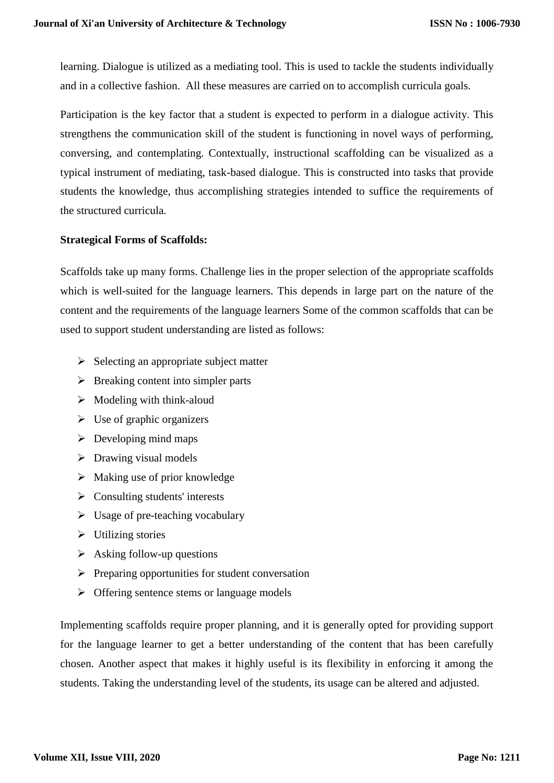learning. Dialogue is utilized as a mediating tool. This is used to tackle the students individually and in a collective fashion. All these measures are carried on to accomplish curricula goals.

Participation is the key factor that a student is expected to perform in a dialogue activity. This strengthens the communication skill of the student is functioning in novel ways of performing, conversing, and contemplating. Contextually, instructional scaffolding can be visualized as a typical instrument of mediating, task-based dialogue. This is constructed into tasks that provide students the knowledge, thus accomplishing strategies intended to suffice the requirements of the structured curricula.

# **Strategical Forms of Scaffolds:**

Scaffolds take up many forms. Challenge lies in the proper selection of the appropriate scaffolds which is well-suited for the language learners. This depends in large part on the nature of the content and the requirements of the language learners Some of the common scaffolds that can be used to support student understanding are listed as follows:

- $\triangleright$  Selecting an appropriate subject matter
- $\triangleright$  Breaking content into simpler parts
- $\triangleright$  Modeling with think-aloud
- $\triangleright$  Use of graphic organizers
- $\triangleright$  Developing mind maps
- $\triangleright$  Drawing visual models
- $\triangleright$  Making use of prior knowledge
- $\triangleright$  Consulting students' interests
- $\triangleright$  Usage of pre-teaching vocabulary
- $\triangleright$  Utilizing stories
- $\triangleright$  Asking follow-up questions
- $\triangleright$  Preparing opportunities for student conversation
- $\triangleright$  Offering sentence stems or language models

Implementing scaffolds require proper planning, and it is generally opted for providing support for the language learner to get a better understanding of the content that has been carefully chosen. Another aspect that makes it highly useful is its flexibility in enforcing it among the students. Taking the understanding level of the students, its usage can be altered and adjusted.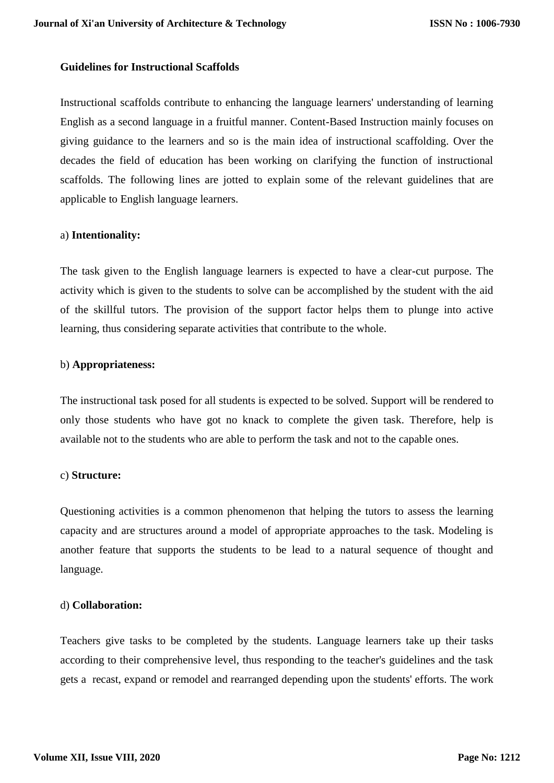## **Guidelines for Instructional Scaffolds**

Instructional scaffolds contribute to enhancing the language learners' understanding of learning English as a second language in a fruitful manner. Content-Based Instruction mainly focuses on giving guidance to the learners and so is the main idea of instructional scaffolding. Over the decades the field of education has been working on clarifying the function of instructional scaffolds. The following lines are jotted to explain some of the relevant guidelines that are applicable to English language learners.

## a) **Intentionality:**

The task given to the English language learners is expected to have a clear-cut purpose. The activity which is given to the students to solve can be accomplished by the student with the aid of the skillful tutors. The provision of the support factor helps them to plunge into active learning, thus considering separate activities that contribute to the whole.

## b) **Appropriateness:**

The instructional task posed for all students is expected to be solved. Support will be rendered to only those students who have got no knack to complete the given task. Therefore, help is available not to the students who are able to perform the task and not to the capable ones.

#### c) **Structure:**

Questioning activities is a common phenomenon that helping the tutors to assess the learning capacity and are structures around a model of appropriate approaches to the task. Modeling is another feature that supports the students to be lead to a natural sequence of thought and language.

## d) **Collaboration:**

Teachers give tasks to be completed by the students. Language learners take up their tasks according to their comprehensive level, thus responding to the teacher's guidelines and the task gets a recast, expand or remodel and rearranged depending upon the students' efforts. The work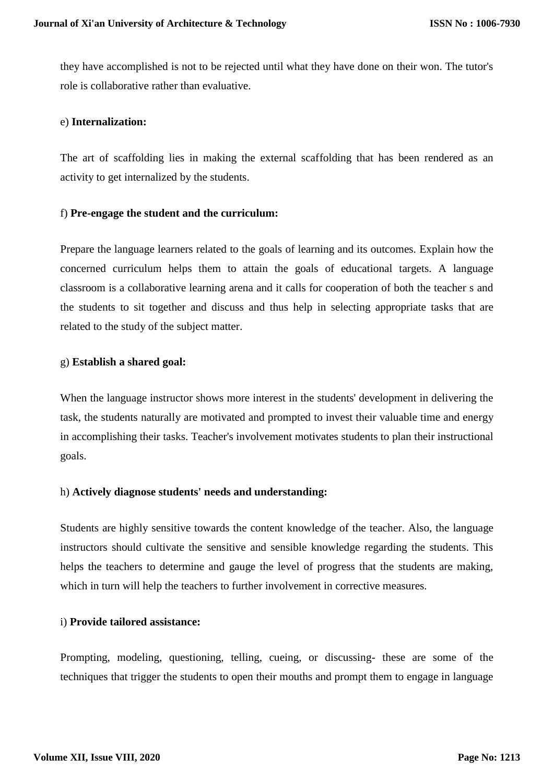they have accomplished is not to be rejected until what they have done on their won. The tutor's role is collaborative rather than evaluative.

#### e) **Internalization:**

The art of scaffolding lies in making the external scaffolding that has been rendered as an activity to get internalized by the students.

## f) **Pre-engage the student and the curriculum:**

Prepare the language learners related to the goals of learning and its outcomes. Explain how the concerned curriculum helps them to attain the goals of educational targets. A language classroom is a collaborative learning arena and it calls for cooperation of both the teacher s and the students to sit together and discuss and thus help in selecting appropriate tasks that are related to the study of the subject matter.

## g) **Establish a shared goal:**

When the language instructor shows more interest in the students' development in delivering the task, the students naturally are motivated and prompted to invest their valuable time and energy in accomplishing their tasks. Teacher's involvement motivates students to plan their instructional goals.

# h) **Actively diagnose students' needs and understanding:**

Students are highly sensitive towards the content knowledge of the teacher. Also, the language instructors should cultivate the sensitive and sensible knowledge regarding the students. This helps the teachers to determine and gauge the level of progress that the students are making, which in turn will help the teachers to further involvement in corrective measures.

## i) **Provide tailored assistance:**

Prompting, modeling, questioning, telling, cueing, or discussing- these are some of the techniques that trigger the students to open their mouths and prompt them to engage in language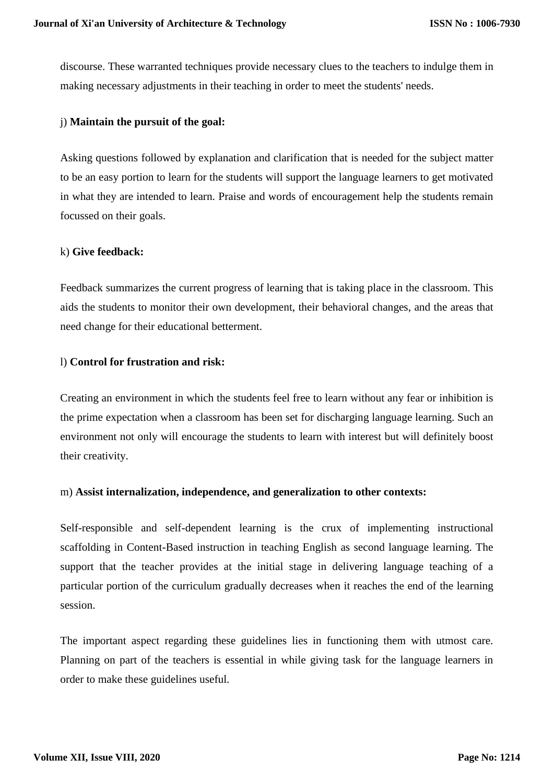discourse. These warranted techniques provide necessary clues to the teachers to indulge them in making necessary adjustments in their teaching in order to meet the students' needs.

#### j) **Maintain the pursuit of the goal:**

Asking questions followed by explanation and clarification that is needed for the subject matter to be an easy portion to learn for the students will support the language learners to get motivated in what they are intended to learn. Praise and words of encouragement help the students remain focussed on their goals.

#### k) **Give feedback:**

Feedback summarizes the current progress of learning that is taking place in the classroom. This aids the students to monitor their own development, their behavioral changes, and the areas that need change for their educational betterment.

## l) **Control for frustration and risk:**

Creating an environment in which the students feel free to learn without any fear or inhibition is the prime expectation when a classroom has been set for discharging language learning. Such an environment not only will encourage the students to learn with interest but will definitely boost their creativity.

#### m) **Assist internalization, independence, and generalization to other contexts:**

Self-responsible and self-dependent learning is the crux of implementing instructional scaffolding in Content-Based instruction in teaching English as second language learning. The support that the teacher provides at the initial stage in delivering language teaching of a particular portion of the curriculum gradually decreases when it reaches the end of the learning session.

The important aspect regarding these guidelines lies in functioning them with utmost care. Planning on part of the teachers is essential in while giving task for the language learners in order to make these guidelines useful.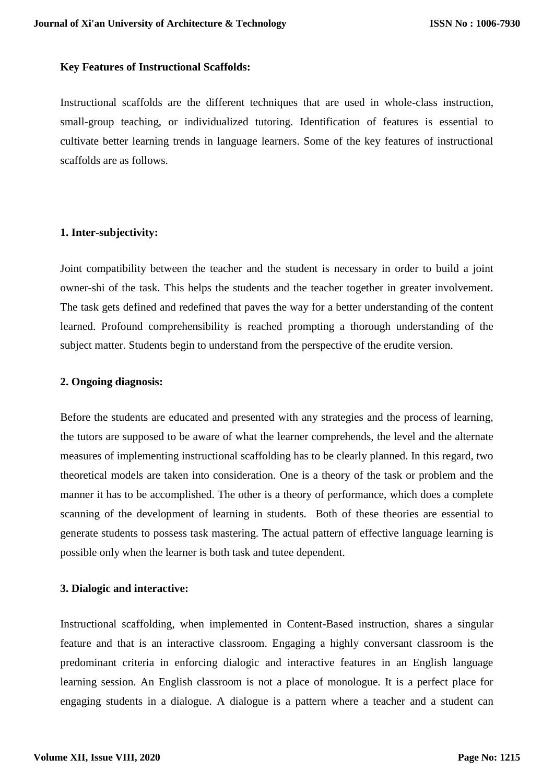## **Key Features of Instructional Scaffolds:**

Instructional scaffolds are the different techniques that are used in whole-class instruction, small-group teaching, or individualized tutoring. Identification of features is essential to cultivate better learning trends in language learners. Some of the key features of instructional scaffolds are as follows.

## **1. Inter-subjectivity:**

Joint compatibility between the teacher and the student is necessary in order to build a joint owner-shi of the task. This helps the students and the teacher together in greater involvement. The task gets defined and redefined that paves the way for a better understanding of the content learned. Profound comprehensibility is reached prompting a thorough understanding of the subject matter. Students begin to understand from the perspective of the erudite version.

# **2. Ongoing diagnosis:**

Before the students are educated and presented with any strategies and the process of learning, the tutors are supposed to be aware of what the learner comprehends, the level and the alternate measures of implementing instructional scaffolding has to be clearly planned. In this regard, two theoretical models are taken into consideration. One is a theory of the task or problem and the manner it has to be accomplished. The other is a theory of performance, which does a complete scanning of the development of learning in students. Both of these theories are essential to generate students to possess task mastering. The actual pattern of effective language learning is possible only when the learner is both task and tutee dependent.

# **3. Dialogic and interactive:**

Instructional scaffolding, when implemented in Content-Based instruction, shares a singular feature and that is an interactive classroom. Engaging a highly conversant classroom is the predominant criteria in enforcing dialogic and interactive features in an English language learning session. An English classroom is not a place of monologue. It is a perfect place for engaging students in a dialogue. A dialogue is a pattern where a teacher and a student can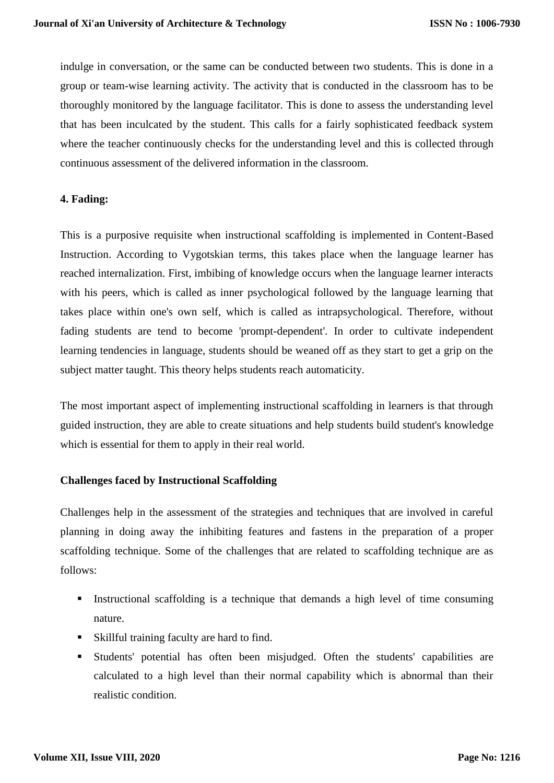indulge in conversation, or the same can be conducted between two students. This is done in a group or team-wise learning activity. The activity that is conducted in the classroom has to be thoroughly monitored by the language facilitator. This is done to assess the understanding level that has been inculcated by the student. This calls for a fairly sophisticated feedback system where the teacher continuously checks for the understanding level and this is collected through continuous assessment of the delivered information in the classroom.

# **4. Fading:**

This is a purposive requisite when instructional scaffolding is implemented in Content-Based Instruction. According to Vygotskian terms, this takes place when the language learner has reached internalization. First, imbibing of knowledge occurs when the language learner interacts with his peers, which is called as inner psychological followed by the language learning that takes place within one's own self, which is called as intrapsychological. Therefore, without fading students are tend to become 'prompt-dependent'. In order to cultivate independent learning tendencies in language, students should be weaned off as they start to get a grip on the subject matter taught. This theory helps students reach automaticity.

The most important aspect of implementing instructional scaffolding in learners is that through guided instruction, they are able to create situations and help students build student's knowledge which is essential for them to apply in their real world.

# **Challenges faced by Instructional Scaffolding**

Challenges help in the assessment of the strategies and techniques that are involved in careful planning in doing away the inhibiting features and fastens in the preparation of a proper scaffolding technique. Some of the challenges that are related to scaffolding technique are as follows:

- Instructional scaffolding is a technique that demands a high level of time consuming nature.
- Skillful training faculty are hard to find.
- Students' potential has often been misjudged. Often the students' capabilities are calculated to a high level than their normal capability which is abnormal than their realistic condition.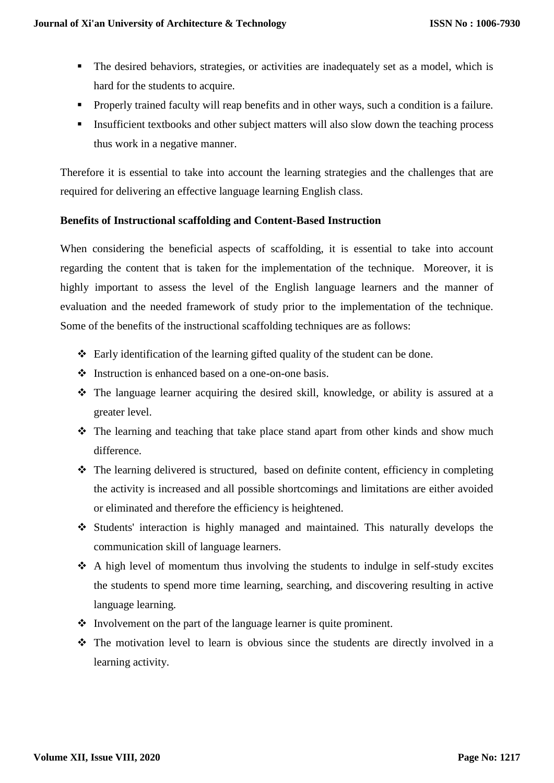- The desired behaviors, strategies, or activities are inadequately set as a model, which is hard for the students to acquire.
- **Properly trained faculty will reap benefits and in other ways, such a condition is a failure.**
- Insufficient textbooks and other subject matters will also slow down the teaching process thus work in a negative manner.

Therefore it is essential to take into account the learning strategies and the challenges that are required for delivering an effective language learning English class.

# **Benefits of Instructional scaffolding and Content-Based Instruction**

When considering the beneficial aspects of scaffolding, it is essential to take into account regarding the content that is taken for the implementation of the technique. Moreover, it is highly important to assess the level of the English language learners and the manner of evaluation and the needed framework of study prior to the implementation of the technique. Some of the benefits of the instructional scaffolding techniques are as follows:

- $\triangle$  Early identification of the learning gifted quality of the student can be done.
- $\triangle$  Instruction is enhanced based on a one-on-one basis.
- $\hat{\cdot}$  The language learner acquiring the desired skill, knowledge, or ability is assured at a greater level.
- The learning and teaching that take place stand apart from other kinds and show much difference.
- The learning delivered is structured, based on definite content, efficiency in completing the activity is increased and all possible shortcomings and limitations are either avoided or eliminated and therefore the efficiency is heightened.
- Students' interaction is highly managed and maintained. This naturally develops the communication skill of language learners.
- $\triangle$  A high level of momentum thus involving the students to indulge in self-study excites the students to spend more time learning, searching, and discovering resulting in active language learning.
- $\cdot$  Involvement on the part of the language learner is quite prominent.
- The motivation level to learn is obvious since the students are directly involved in a learning activity.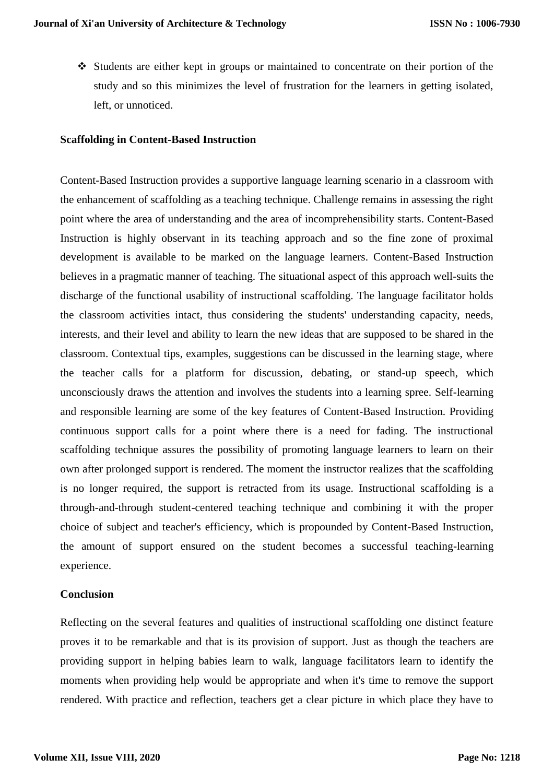Students are either kept in groups or maintained to concentrate on their portion of the study and so this minimizes the level of frustration for the learners in getting isolated, left, or unnoticed.

## **Scaffolding in Content-Based Instruction**

Content-Based Instruction provides a supportive language learning scenario in a classroom with the enhancement of scaffolding as a teaching technique. Challenge remains in assessing the right point where the area of understanding and the area of incomprehensibility starts. Content-Based Instruction is highly observant in its teaching approach and so the fine zone of proximal development is available to be marked on the language learners. Content-Based Instruction believes in a pragmatic manner of teaching. The situational aspect of this approach well-suits the discharge of the functional usability of instructional scaffolding. The language facilitator holds the classroom activities intact, thus considering the students' understanding capacity, needs, interests, and their level and ability to learn the new ideas that are supposed to be shared in the classroom. Contextual tips, examples, suggestions can be discussed in the learning stage, where the teacher calls for a platform for discussion, debating, or stand-up speech, which unconsciously draws the attention and involves the students into a learning spree. Self-learning and responsible learning are some of the key features of Content-Based Instruction. Providing continuous support calls for a point where there is a need for fading. The instructional scaffolding technique assures the possibility of promoting language learners to learn on their own after prolonged support is rendered. The moment the instructor realizes that the scaffolding is no longer required, the support is retracted from its usage. Instructional scaffolding is a through-and-through student-centered teaching technique and combining it with the proper choice of subject and teacher's efficiency, which is propounded by Content-Based Instruction, the amount of support ensured on the student becomes a successful teaching-learning experience.

#### **Conclusion**

Reflecting on the several features and qualities of instructional scaffolding one distinct feature proves it to be remarkable and that is its provision of support. Just as though the teachers are providing support in helping babies learn to walk, language facilitators learn to identify the moments when providing help would be appropriate and when it's time to remove the support rendered. With practice and reflection, teachers get a clear picture in which place they have to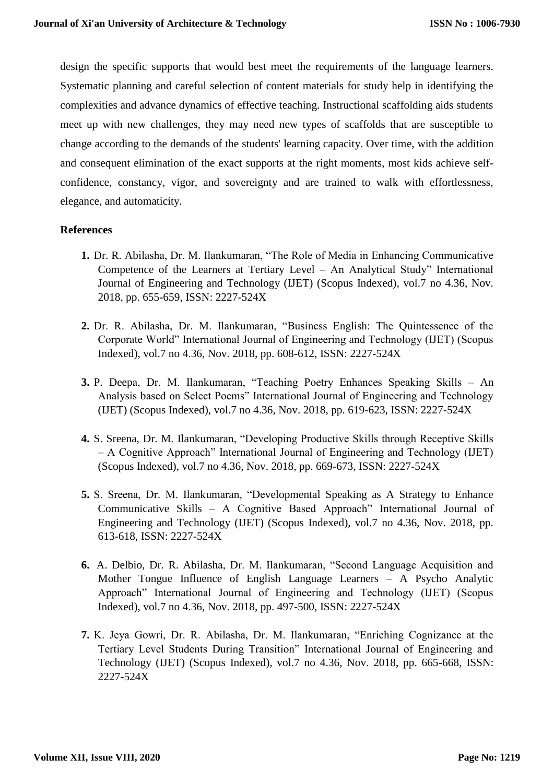design the specific supports that would best meet the requirements of the language learners. Systematic planning and careful selection of content materials for study help in identifying the complexities and advance dynamics of effective teaching. Instructional scaffolding aids students meet up with new challenges, they may need new types of scaffolds that are susceptible to change according to the demands of the students' learning capacity. Over time, with the addition and consequent elimination of the exact supports at the right moments, most kids achieve selfconfidence, constancy, vigor, and sovereignty and are trained to walk with effortlessness, elegance, and automaticity.

# **References**

- **1.** Dr. R. Abilasha, Dr. M. Ilankumaran, "The Role of Media in Enhancing Communicative Competence of the Learners at Tertiary Level – An Analytical Study" International Journal of Engineering and Technology (IJET) (Scopus Indexed), vol.7 no 4.36, Nov. 2018, pp. 655-659, ISSN: 2227-524X
- **2.** Dr. R. Abilasha, Dr. M. Ilankumaran, "Business English: The Quintessence of the Corporate World" International Journal of Engineering and Technology (IJET) (Scopus Indexed), vol.7 no 4.36, Nov. 2018, pp. 608-612, ISSN: 2227-524X
- **3.** P. Deepa, Dr. M. Ilankumaran, "Teaching Poetry Enhances Speaking Skills An Analysis based on Select Poems" International Journal of Engineering and Technology (IJET) (Scopus Indexed), vol.7 no 4.36, Nov. 2018, pp. 619-623, ISSN: 2227-524X
- **4.** S. Sreena, Dr. M. Ilankumaran, "Developing Productive Skills through Receptive Skills – A Cognitive Approach" International Journal of Engineering and Technology (IJET) (Scopus Indexed), vol.7 no 4.36, Nov. 2018, pp. 669-673, ISSN: 2227-524X
- **5.** S. Sreena, Dr. M. Ilankumaran, "Developmental Speaking as A Strategy to Enhance Communicative Skills – A Cognitive Based Approach" International Journal of Engineering and Technology (IJET) (Scopus Indexed), vol.7 no 4.36, Nov. 2018, pp. 613-618, ISSN: 2227-524X
- **6.** A. Delbio, Dr. R. Abilasha, Dr. M. Ilankumaran, "Second Language Acquisition and Mother Tongue Influence of English Language Learners – A Psycho Analytic Approach" International Journal of Engineering and Technology (IJET) (Scopus Indexed), vol.7 no 4.36, Nov. 2018, pp. 497-500, ISSN: 2227-524X
- **7.** K. Jeya Gowri, Dr. R. Abilasha, Dr. M. Ilankumaran, "Enriching Cognizance at the Tertiary Level Students During Transition" International Journal of Engineering and Technology (IJET) (Scopus Indexed), vol.7 no 4.36, Nov. 2018, pp. 665-668, ISSN: 2227-524X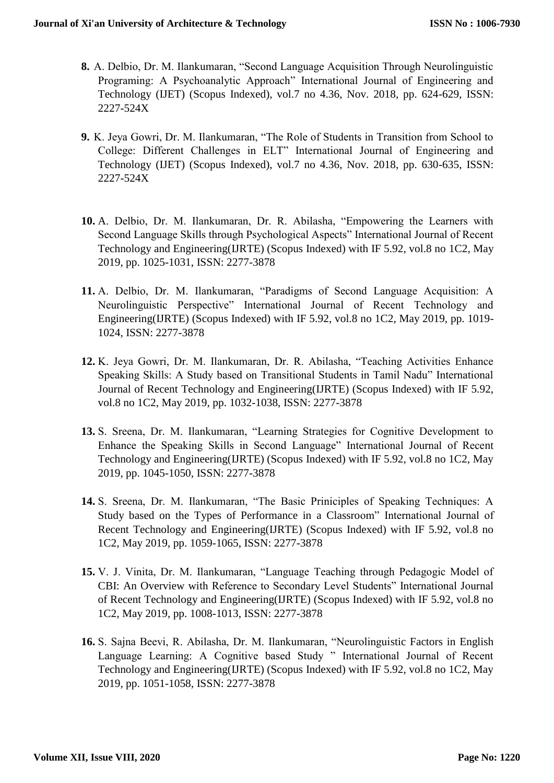- **8.** A. Delbio, Dr. M. Ilankumaran, "Second Language Acquisition Through Neurolinguistic Programing: A Psychoanalytic Approach" International Journal of Engineering and Technology (IJET) (Scopus Indexed), vol.7 no 4.36, Nov. 2018, pp. 624-629, ISSN: 2227-524X
- **9.** K. Jeya Gowri, Dr. M. Ilankumaran, "The Role of Students in Transition from School to College: Different Challenges in ELT" International Journal of Engineering and Technology (IJET) (Scopus Indexed), vol.7 no 4.36, Nov. 2018, pp. 630-635, ISSN: 2227-524X
- **10.** A. Delbio, Dr. M. Ilankumaran, Dr. R. Abilasha, "Empowering the Learners with Second Language Skills through Psychological Aspects" International Journal of Recent Technology and Engineering(IJRTE) (Scopus Indexed) with IF 5.92, vol.8 no 1C2, May 2019, pp. 1025-1031, ISSN: 2277-3878
- **11.** A. Delbio, Dr. M. Ilankumaran, "Paradigms of Second Language Acquisition: A Neurolinguistic Perspective" International Journal of Recent Technology and Engineering(IJRTE) (Scopus Indexed) with IF 5.92, vol.8 no 1C2, May 2019, pp. 1019- 1024, ISSN: 2277-3878
- **12.** K. Jeya Gowri, Dr. M. Ilankumaran, Dr. R. Abilasha, "Teaching Activities Enhance Speaking Skills: A Study based on Transitional Students in Tamil Nadu" International Journal of Recent Technology and Engineering(IJRTE) (Scopus Indexed) with IF 5.92, vol.8 no 1C2, May 2019, pp. 1032-1038, ISSN: 2277-3878
- **13.** S. Sreena, Dr. M. Ilankumaran, "Learning Strategies for Cognitive Development to Enhance the Speaking Skills in Second Language" International Journal of Recent Technology and Engineering(IJRTE) (Scopus Indexed) with IF 5.92, vol.8 no 1C2, May 2019, pp. 1045-1050, ISSN: 2277-3878
- **14.** S. Sreena, Dr. M. Ilankumaran, "The Basic Priniciples of Speaking Techniques: A Study based on the Types of Performance in a Classroom" International Journal of Recent Technology and Engineering(IJRTE) (Scopus Indexed) with IF 5.92, vol.8 no 1C2, May 2019, pp. 1059-1065, ISSN: 2277-3878
- **15.** V. J. Vinita, Dr. M. Ilankumaran, "Language Teaching through Pedagogic Model of CBI: An Overview with Reference to Secondary Level Students" International Journal of Recent Technology and Engineering(IJRTE) (Scopus Indexed) with IF 5.92, vol.8 no 1C2, May 2019, pp. 1008-1013, ISSN: 2277-3878
- **16.** S. Sajna Beevi, R. Abilasha, Dr. M. Ilankumaran, "Neurolinguistic Factors in English Language Learning: A Cognitive based Study " International Journal of Recent Technology and Engineering(IJRTE) (Scopus Indexed) with IF 5.92, vol.8 no 1C2, May 2019, pp. 1051-1058, ISSN: 2277-3878